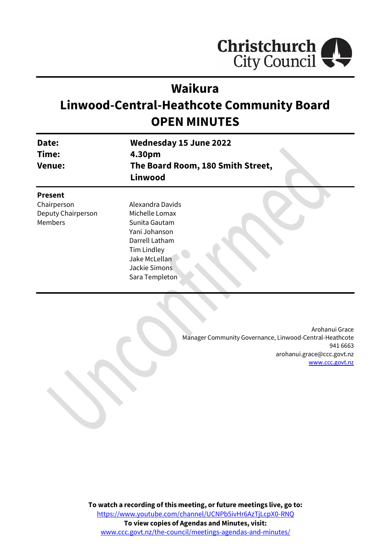

# **Waikura**

# **Linwood-Central-Heathcote Community Board OPEN MINUTES**

| Date:<br>Time:<br><b>Venue:</b>                                | <b>Wednesday 15 June 2022</b><br>4.30pm<br>The Board Room, 180 Smith Street,<br>Linwood                                                                   |
|----------------------------------------------------------------|-----------------------------------------------------------------------------------------------------------------------------------------------------------|
| <b>Present</b><br>Chairperson<br>Deputy Chairperson<br>Members | Alexandra Davids<br>Michelle Lomax<br>Sunita Gautam<br>Yani Johanson<br>Darrell Latham<br>Tim Lindley<br>Jake McLellan<br>Jackie Simons<br>Sara Templeton |

Arohanui Grace Manager Community Governance, Linwood-Central-Heathcote 941 6663 arohanui.grace@ccc.govt.nz [www.ccc.govt.nz](http://www.ccc.govt.nz/)

**To watch a recording of this meeting, or future meetings live, go to:** [https://www.youtube.com/channel/UCNPb5ivHr6AzTjLcpX0-RNQ](https://aus01.safelinks.protection.outlook.com/?url=https%3A%2F%2Fwww.youtube.com%2Fchannel%2FUCNPb5ivHr6AzTjLcpX0-RNQ&data=05%7C01%7CMatthew.Boult%40ccc.govt.nz%7C5a1a543348e149173c2608da3df8ac16%7C45c97e4ebd8d4ddcbd6e2d62daa2a011%7C0%7C0%7C637890435492430387%7CUnknown%7CTWFpbGZsb3d8eyJWIjoiMC4wLjAwMDAiLCJQIjoiV2luMzIiLCJBTiI6Ik1haWwiLCJXVCI6Mn0%3D%7C3000%7C%7C%7C&sdata=%2BS4hHq5TQdCL73slJcZMWkz2p8291uLCleMPVMmRank%3D&reserved=0) **To view copies of Agendas and Minutes, visit:** [www.ccc.govt.nz/the-council/meetings-agendas-and-minutes/](https://www.ccc.govt.nz/the-council/meetings-agendas-and-minutes/)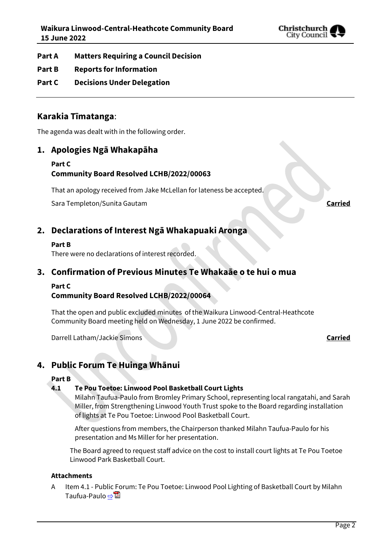

- **Part A Matters Requiring a Council Decision**
- **Part B Reports for Information**
- **Part C Decisions Under Delegation**

# **Karakia Tīmatanga**:

The agenda was dealt with in the following order.

# **1. Apologies Ngā Whakapāha**

# **Part C**

### **Community Board Resolved LCHB/2022/00063**

That an apology received from Jake McLellan for lateness be accepted.

Sara Templeton/Sunita Gautam **Carried**

# **2. Declarations of Interest Ngā Whakapuaki Aronga**

#### **Part B**

There were no declarations of interest recorded.

# **3. Confirmation of Previous Minutes Te Whakaāe o te hui o mua**

### **Part C**

### **Community Board Resolved LCHB/2022/00064**

That the open and public excluded minutes of the Waikura Linwood-Central-Heathcote Community Board meeting held on Wednesday, 1 June 2022 be confirmed.

Darrell Latham/Jackie Simons **Carried**

# **4. Public Forum Te Huinga Whānui**

#### **Part B**

### **4.1 Te Pou Toetoe: Linwood Pool Basketball Court Lights**

Milahn Taufua-Paulo from Bromley Primary School, representing local rangatahi, and Sarah Miller, from Strengthening Linwood Youth Trust spoke to the Board regarding installation of lights at Te Pou Toetoe: Linwood Pool Basketball Court.

After questions from members, the Chairperson thanked Milahn Taufua-Paulo for his presentation and Ms Miller for her presentation.

The Board agreed to request staff advice on the cost to install court lights at Te Pou Toetoe Linwood Park Basketball Court.

#### **Attachments**

A Item 4.1 - Public Forum: Te Pou Toetoe: Linwood Pool Lighting of Basketball Court by Milahn Taufua-Paulo ⇒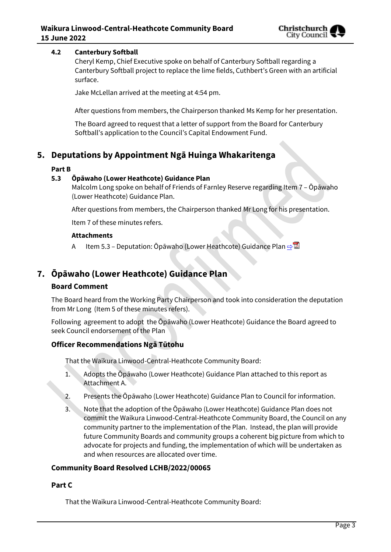

#### **4.2 Canterbury Softball**

Cheryl Kemp, Chief Executive spoke on behalf of Canterbury Softball regarding a Canterbury Softball project to replace the lime fields, Cuthbert's Green with an artificial surface.

Jake McLellan arrived at the meeting at 4:54 pm.

After questions from members, the Chairperson thanked Ms Kemp for her presentation.

The Board agreed to request that a letter of support from the Board for Canterbury Softball's application to the Council's Capital Endowment Fund.

# **5. Deputations by Appointment Ngā Huinga Whakaritenga**

#### **Part B**

#### **5.3 Ōpāwaho (Lower Heathcote) Guidance Plan**

Malcolm Long spoke on behalf of Friends of Farnley Reserve regarding Item 7 – Ōpāwaho (Lower Heathcote) Guidance Plan.

After questions from members, the Chairperson thanked Mr Long for his presentation.

Item 7 of these minutes refers.

#### **Attachments**

A Item 5.3 – Deputation: Ōpāwaho (Lower Heathcote) Guidance Plan [⇨](../../../RedirectToInvalidFileName.aspx?FileName=LCHB_20220615_MAT_7608.PDF#PAGE=4)

# **7. Ōpāwaho (Lower Heathcote) Guidance Plan**

#### **Board Comment**

The Board heard from the Working Party Chairperson and took into consideration the deputation from Mr Long (Item 5 of these minutes refers).

Following agreement to adopt the Ōpāwaho (Lower Heathcote) Guidance the Board agreed to seek Council endorsement of the Plan

### **Officer Recommendations Ngā Tūtohu**

That the Waikura Linwood-Central-Heathcote Community Board:

- 1. Adopts the Ōpāwaho (Lower Heathcote) Guidance Plan attached to this report as Attachment A.
- 2. Presents the Ōpāwaho (Lower Heathcote) Guidance Plan to Council for information.
- 3. Note that the adoption of the Ōpāwaho (Lower Heathcote) Guidance Plan does not commit the Waikura Linwood-Central-Heathcote Community Board, the Council on any community partner to the implementation of the Plan. Instead, the plan will provide future Community Boards and community groups a coherent big picture from which to advocate for projects and funding, the implementation of which will be undertaken as and when resources are allocated over time.

### **Community Board Resolved LCHB/2022/00065**

#### **Part C**

That the Waikura Linwood-Central-Heathcote Community Board: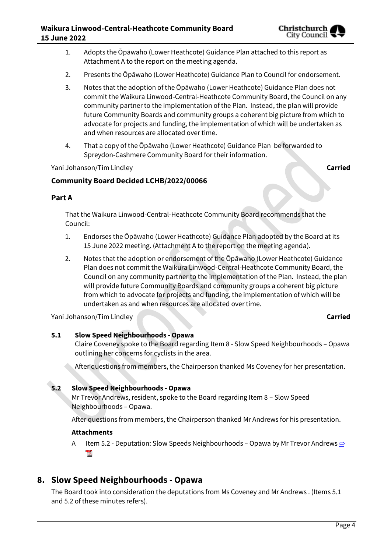

- 1. Adopts the Ōpāwaho (Lower Heathcote) Guidance Plan attached to this report as Attachment A to the report on the meeting agenda.
- 2. Presents the Ōpāwaho (Lower Heathcote) Guidance Plan to Council for endorsement.
- 3. Notes that the adoption of the Ōpāwaho (Lower Heathcote) Guidance Plan does not commit the Waikura Linwood-Central-Heathcote Community Board, the Council on any community partner to the implementation of the Plan. Instead, the plan will provide future Community Boards and community groups a coherent big picture from which to advocate for projects and funding, the implementation of which will be undertaken as and when resources are allocated over time.
- 4. That a copy of the Ōpāwaho (Lower Heathcote) Guidance Plan be forwarded to Spreydon-Cashmere Community Board for their information.

Yani Johanson/Tim Lindley **Carried**

# **Community Board Decided LCHB/2022/00066**

#### **Part A**

That the Waikura Linwood-Central-Heathcote Community Board recommends that the Council:

- 1. Endorses the Ōpāwaho (Lower Heathcote) Guidance Plan adopted by the Board at its 15 June 2022 meeting. (Attachment A to the report on the meeting agenda).
- 2. Notes that the adoption or endorsement of the Ōpāwaho (Lower Heathcote) Guidance Plan does not commit the Waikura Linwood-Central-Heathcote Community Board, the Council on any community partner to the implementation of the Plan. Instead, the plan will provide future Community Boards and community groups a coherent big picture from which to advocate for projects and funding, the implementation of which will be undertaken as and when resources are allocated over time.

Yani Johanson/Tim Lindley **Carried**

### **5.1 Slow Speed Neighbourhoods - Opawa**

Claire Coveney spoke to the Board regarding Item 8 - Slow Speed Neighbourhoods – Opawa outlining her concerns for cyclists in the area.

After questions from members, the Chairperson thanked Ms Coveney for her presentation.

### **5.2 Slow Speed Neighbourhoods - Opawa**

Mr Trevor Andrews, resident, spoke to the Board regarding Item 8 – Slow Speed Neighbourhoods – Opawa.

After questions from members, the Chairperson thanked Mr Andrews for his presentation.

#### **Attachments**

A Item 5.2 - Deputation: Slow Speeds Neighbourhoods – Opawa by Mr Trevor Andrews  $\Rightarrow$ **POP** 

# **8. Slow Speed Neighbourhoods - Opawa**

The Board took into consideration the deputations from Ms Coveney and Mr Andrews . (Items 5.1 and 5.2 of these minutes refers).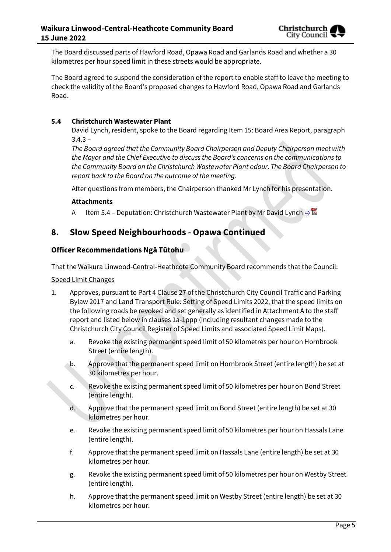The Board discussed parts of Hawford Road, Opawa Road and Garlands Road and whether a 30 kilometres per hour speed limit in these streets would be appropriate.

The Board agreed to suspend the consideration of the report to enable staff to leave the meeting to check the validity of the Board's proposed changes to Hawford Road, Opawa Road and Garlands Road.

### **5.4 Christchurch Wastewater Plant**

David Lynch, resident, spoke to the Board regarding Item 15: Board Area Report, paragraph  $3.4.3 -$ 

*The Board agreed that the Community Board Chairperson and Deputy Chairperson meet with the Mayor and the Chief Executive to discuss the Board's concerns on the communications to the Community Board on the Christchurch Wastewater Plant odour. The Board Chairperson to report back to the Board on the outcome of the meeting.*

After questions from members, the Chairperson thanked Mr Lynch for his presentation.

#### **Attachments**

A Item 5.4 – Deputation: Christchurch Wastewater Plant by Mr David Lynch  $\Rightarrow \blacksquare$ 

# **8. Slow Speed Neighbourhoods - Opawa Continued**

### **Officer Recommendations Ngā Tūtohu**

That the Waikura Linwood-Central-Heathcote Community Board recommends that the Council:

Speed Limit Changes

- 1. Approves, pursuant to Part 4 Clause 27 of the Christchurch City Council Traffic and Parking Bylaw 2017 and Land Transport Rule: Setting of Speed Limits 2022, that the speed limits on the following roads be revoked and set generally as identified in Attachment A to the staff report and listed below in clauses 1a-1ppp (including resultant changes made to the Christchurch City Council Register of Speed Limits and associated Speed Limit Maps).
	- a. Revoke the existing permanent speed limit of 50 kilometres per hour on Hornbrook Street (entire length).
	- b. Approve that the permanent speed limit on Hornbrook Street (entire length) be set at 30 kilometres per hour.
	- c. Revoke the existing permanent speed limit of 50 kilometres per hour on Bond Street (entire length).
	- d. Approve that the permanent speed limit on Bond Street (entire length) be set at 30 kilometres per hour.
	- e. Revoke the existing permanent speed limit of 50 kilometres per hour on Hassals Lane (entire length).
	- f. Approve that the permanent speed limit on Hassals Lane (entire length) be set at 30 kilometres per hour.
	- g. Revoke the existing permanent speed limit of 50 kilometres per hour on Westby Street (entire length).
	- h. Approve that the permanent speed limit on Westby Street (entire length) be set at 30 kilometres per hour.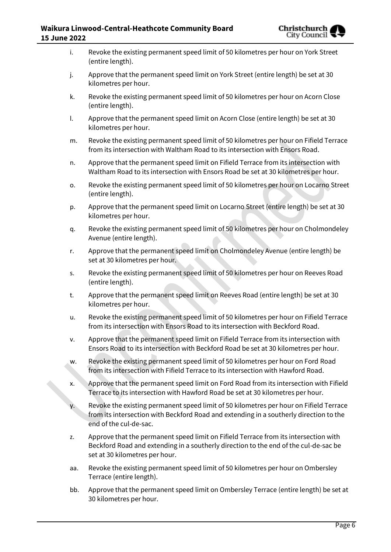| i.  | Revoke the existing permanent speed limit of 50 kilometres per hour on York Street<br>(entire length).                                                                                                         |
|-----|----------------------------------------------------------------------------------------------------------------------------------------------------------------------------------------------------------------|
| j.  | Approve that the permanent speed limit on York Street (entire length) be set at 30<br>kilometres per hour.                                                                                                     |
| k.  | Revoke the existing permanent speed limit of 50 kilometres per hour on Acorn Close<br>(entire length).                                                                                                         |
| I.  | Approve that the permanent speed limit on Acorn Close (entire length) be set at 30<br>kilometres per hour.                                                                                                     |
| m.  | Revoke the existing permanent speed limit of 50 kilometres per hour on Fifield Terrace<br>from its intersection with Waltham Road to its intersection with Ensors Road.                                        |
| n.  | Approve that the permanent speed limit on Fifield Terrace from its intersection with<br>Waltham Road to its intersection with Ensors Road be set at 30 kilometres per hour.                                    |
| о.  | Revoke the existing permanent speed limit of 50 kilometres per hour on Locarno Street<br>(entire length).                                                                                                      |
| p.  | Approve that the permanent speed limit on Locarno Street (entire length) be set at 30<br>kilometres per hour.                                                                                                  |
| q.  | Revoke the existing permanent speed limit of 50 kilometres per hour on Cholmondeley<br>Avenue (entire length).                                                                                                 |
| r.  | Approve that the permanent speed limit on Cholmondeley Avenue (entire length) be<br>set at 30 kilometres per hour.                                                                                             |
| S.  | Revoke the existing permanent speed limit of 50 kilometres per hour on Reeves Road<br>(entire length).                                                                                                         |
| t.  | Approve that the permanent speed limit on Reeves Road (entire length) be set at 30<br>kilometres per hour.                                                                                                     |
| u.  | Revoke the existing permanent speed limit of 50 kilometres per hour on Fifield Terrace<br>from its intersection with Ensors Road to its intersection with Beckford Road.                                       |
| ν.  | Approve that the permanent speed limit on Fifield Terrace from its intersection with<br>Ensors Road to its intersection with Beckford Road be set at 30 kilometres per hour.                                   |
| w.  | Revoke the existing permanent speed limit of 50 kilometres per hour on Ford Road<br>from its intersection with Fifield Terrace to its intersection with Hawford Road.                                          |
| х.  | Approve that the permanent speed limit on Ford Road from its intersection with Fifield<br>Terrace to its intersection with Hawford Road be set at 30 kilometres per hour.                                      |
| у.  | Revoke the existing permanent speed limit of 50 kilometres per hour on Fifield Terrace<br>from its intersection with Beckford Road and extending in a southerly direction to the<br>end of the cul-de-sac.     |
| Z.  | Approve that the permanent speed limit on Fifield Terrace from its intersection with<br>Beckford Road and extending in a southerly direction to the end of the cul-de-sac be<br>set at 30 kilometres per hour. |
| aa. | Revoke the existing permanent speed limit of 50 kilometres per hour on Ombersley<br>Terrace (entire length).                                                                                                   |
| bb. | Approve that the permanent speed limit on Ombersley Terrace (entire length) be set at<br>30 kilometres per hour.                                                                                               |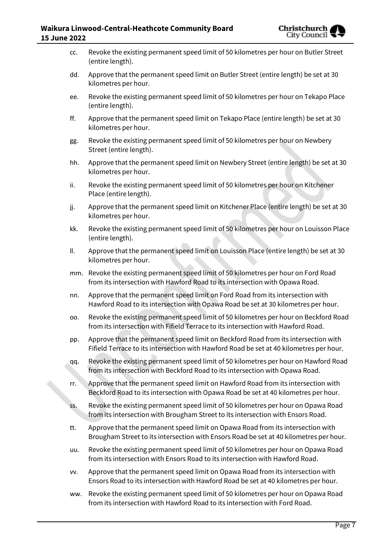| CC. | Revoke the existing permanent speed limit of 50 kilometres per hour on Butler Street<br>(entire length).                                                                      |
|-----|-------------------------------------------------------------------------------------------------------------------------------------------------------------------------------|
| dd. | Approve that the permanent speed limit on Butler Street (entire length) be set at 30<br>kilometres per hour.                                                                  |
| ee. | Revoke the existing permanent speed limit of 50 kilometres per hour on Tekapo Place<br>(entire length).                                                                       |
| ff. | Approve that the permanent speed limit on Tekapo Place (entire length) be set at 30<br>kilometres per hour.                                                                   |
| gg. | Revoke the existing permanent speed limit of 50 kilometres per hour on Newbery<br>Street (entire length).                                                                     |
| hh. | Approve that the permanent speed limit on Newbery Street (entire length) be set at 30<br>kilometres per hour.                                                                 |
| ii. | Revoke the existing permanent speed limit of 50 kilometres per hour on Kitchener<br>Place (entire length).                                                                    |
| jj. | Approve that the permanent speed limit on Kitchener Place (entire length) be set at 30<br>kilometres per hour.                                                                |
| kk. | Revoke the existing permanent speed limit of 50 kilometres per hour on Louisson Place<br>(entire length).                                                                     |
| ΙΙ. | Approve that the permanent speed limit on Louisson Place (entire length) be set at 30<br>kilometres per hour.                                                                 |
|     | mm. Revoke the existing permanent speed limit of 50 kilometres per hour on Ford Road<br>from its intersection with Hawford Road to its intersection with Opawa Road.          |
| nn. | Approve that the permanent speed limit on Ford Road from its intersection with<br>Hawford Road to its intersection with Opawa Road be set at 30 kilometres per hour.          |
| 00. | Revoke the existing permanent speed limit of 50 kilometres per hour on Beckford Road<br>from its intersection with Fifield Terrace to its intersection with Hawford Road.     |
| pp. | Approve that the permanent speed limit on Beckford Road from its intersection with<br>Fifield Terrace to its intersection with Hawford Road be set at 40 kilometres per hour. |
| qq. | Revoke the existing permanent speed limit of 50 kilometres per hour on Hawford Road<br>from its intersection with Beckford Road to its intersection with Opawa Road.          |
| rr. | Approve that the permanent speed limit on Hawford Road from its intersection with<br>Beckford Road to its intersection with Opawa Road be set at 40 kilometres per hour.      |
| SS. | Revoke the existing permanent speed limit of 50 kilometres per hour on Opawa Road<br>from its intersection with Brougham Street to its intersection with Ensors Road.         |
| tt. | Approve that the permanent speed limit on Opawa Road from its intersection with<br>Brougham Street to its intersection with Ensors Road be set at 40 kilometres per hour.     |
| uu. | Revoke the existing permanent speed limit of 50 kilometres per hour on Opawa Road<br>from its intersection with Ensors Road to its intersection with Hawford Road.            |
| VV. | Approve that the permanent speed limit on Opawa Road from its intersection with<br>Ensors Road to its intersection with Hawford Road be set at 40 kilometres per hour.        |
| ww. | Revoke the existing permanent speed limit of 50 kilometres per hour on Opawa Road<br>from its intersection with Hawford Road to its intersection with Ford Road.              |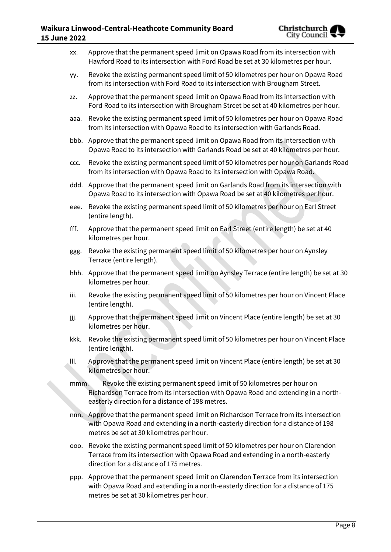- xx. Approve that the permanent speed limit on Opawa Road from its intersection with Hawford Road to its intersection with Ford Road be set at 30 kilometres per hour. yy. Revoke the existing permanent speed limit of 50 kilometres per hour on Opawa Road from its intersection with Ford Road to its intersection with Brougham Street. zz. Approve that the permanent speed limit on Opawa Road from its intersection with Ford Road to its intersection with Brougham Street be set at 40 kilometres per hour. aaa. Revoke the existing permanent speed limit of 50 kilometres per hour on Opawa Road from its intersection with Opawa Road to its intersection with Garlands Road. bbb. Approve that the permanent speed limit on Opawa Road from its intersection with Opawa Road to its intersection with Garlands Road be set at 40 kilometres per hour. ccc. Revoke the existing permanent speed limit of 50 kilometres per hour on Garlands Road from its intersection with Opawa Road to its intersection with Opawa Road. ddd. Approve that the permanent speed limit on Garlands Road from its intersection with Opawa Road to its intersection with Opawa Road be set at 40 kilometres per hour. eee. Revoke the existing permanent speed limit of 50 kilometres per hour on Earl Street (entire length). fff. Approve that the permanent speed limit on Earl Street (entire length) be set at 40 kilometres per hour. ggg. Revoke the existing permanent speed limit of 50 kilometres per hour on Aynsley Terrace (entire length). hhh. Approve that the permanent speed limit on Aynsley Terrace (entire length) be set at 30 kilometres per hour. iii. Revoke the existing permanent speed limit of 50 kilometres per hour on Vincent Place (entire length). jjj. Approve that the permanent speed limit on Vincent Place (entire length) be set at 30 kilometres per hour. kkk. Revoke the existing permanent speed limit of 50 kilometres per hour on Vincent Place (entire length). lll. Approve that the permanent speed limit on Vincent Place (entire length) be set at 30 kilometres per hour. mmm. Revoke the existing permanent speed limit of 50 kilometres per hour on Richardson Terrace from its intersection with Opawa Road and extending in a northeasterly direction for a distance of 198 metres. nnn. Approve that the permanent speed limit on Richardson Terrace from its intersection with Opawa Road and extending in a north-easterly direction for a distance of 198 metres be set at 30 kilometres per hour. ooo. Revoke the existing permanent speed limit of 50 kilometres per hour on Clarendon Terrace from its intersection with Opawa Road and extending in a north-easterly
	- ppp. Approve that the permanent speed limit on Clarendon Terrace from its intersection with Opawa Road and extending in a north-easterly direction for a distance of 175 metres be set at 30 kilometres per hour.

direction for a distance of 175 metres.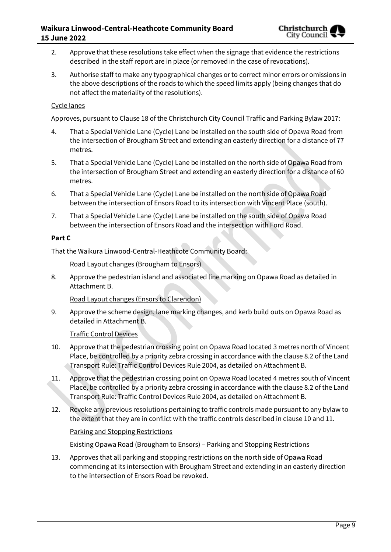- 2. Approve that these resolutions take effect when the signage that evidence the restrictions described in the staff report are in place (or removed in the case of revocations).
- 3. Authorise staff to make any typographical changes or to correct minor errors or omissions in the above descriptions of the roads to which the speed limits apply (being changes that do not affect the materiality of the resolutions).

#### Cycle lanes

Approves, pursuant to Clause 18 of the Christchurch City Council Traffic and Parking Bylaw 2017:

- 4. That a Special Vehicle Lane (Cycle) Lane be installed on the south side of Opawa Road from the intersection of Brougham Street and extending an easterly direction for a distance of 77 metres.
- 5. That a Special Vehicle Lane (Cycle) Lane be installed on the north side of Opawa Road from the intersection of Brougham Street and extending an easterly direction for a distance of 60 metres.
- 6. That a Special Vehicle Lane (Cycle) Lane be installed on the north side of Opawa Road between the intersection of Ensors Road to its intersection with Vincent Place (south).
- 7. That a Special Vehicle Lane (Cycle) Lane be installed on the south side of Opawa Road between the intersection of Ensors Road and the intersection with Ford Road.

#### **Part C**

That the Waikura Linwood-Central-Heathcote Community Board:

Road Layout changes (Brougham to Ensors)

8. Approve the pedestrian island and associated line marking on Opawa Road as detailed in Attachment B.

Road Layout changes (Ensors to Clarendon)

9. Approve the scheme design, lane marking changes, and kerb build outs on Opawa Road as detailed in Attachment B.

Traffic Control Devices

- 10. Approve that the pedestrian crossing point on Opawa Road located 3 metres north of Vincent Place, be controlled by a priority zebra crossing in accordance with the clause 8.2 of the Land Transport Rule: Traffic Control Devices Rule 2004, as detailed on Attachment B.
- 11. Approve that the pedestrian crossing point on Opawa Road located 4 metres south of Vincent Place, be controlled by a priority zebra crossing in accordance with the clause 8.2 of the Land Transport Rule: Traffic Control Devices Rule 2004, as detailed on Attachment B.
- 12. Revoke any previous resolutions pertaining to traffic controls made pursuant to any bylaw to the extent that they are in conflict with the traffic controls described in clause 10 and 11.

#### Parking and Stopping Restrictions

Existing Opawa Road (Brougham to Ensors) – Parking and Stopping Restrictions

13. Approves that all parking and stopping restrictions on the north side of Opawa Road commencing at its intersection with Brougham Street and extending in an easterly direction to the intersection of Ensors Road be revoked.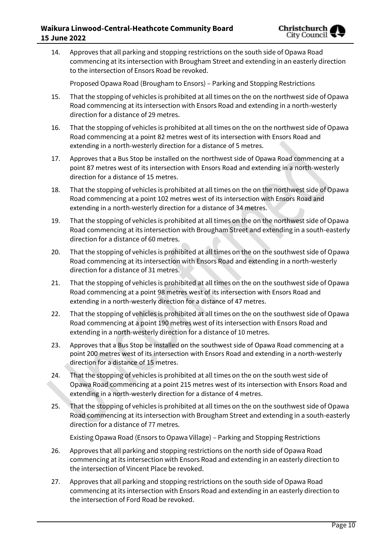

14. Approves that all parking and stopping restrictions on the south side of Opawa Road commencing at its intersection with Brougham Street and extending in an easterly direction to the intersection of Ensors Road be revoked.

Proposed Opawa Road (Brougham to Ensors) – Parking and Stopping Restrictions

- 15. That the stopping of vehicles is prohibited at all times on the on the northwest side of Opawa Road commencing at its intersection with Ensors Road and extending in a north-westerly direction for a distance of 29 metres.
- 16. That the stopping of vehicles is prohibited at all times on the on the northwest side of Opawa Road commencing at a point 82 metres west of its intersection with Ensors Road and extending in a north-westerly direction for a distance of 5 metres.
- 17. Approves that a Bus Stop be installed on the northwest side of Opawa Road commencing at a point 87 metres west of its intersection with Ensors Road and extending in a north-westerly direction for a distance of 15 metres.
- 18. That the stopping of vehicles is prohibited at all times on the on the northwest side of Opawa Road commencing at a point 102 metres west of its intersection with Ensors Road and extending in a north-westerly direction for a distance of 34 metres.
- 19. That the stopping of vehicles is prohibited at all times on the on the northwest side of Opawa Road commencing at its intersection with Brougham Street and extending in a south-easterly direction for a distance of 60 metres.
- 20. That the stopping of vehicles is prohibited at all times on the on the southwest side of Opawa Road commencing at its intersection with Ensors Road and extending in a north-westerly direction for a distance of 31 metres.
- 21. That the stopping of vehicles is prohibited at all times on the on the southwest side of Opawa Road commencing at a point 98 metres west of its intersection with Ensors Road and extending in a north-westerly direction for a distance of 47 metres.
- 22. That the stopping of vehicles is prohibited at all times on the on the southwest side of Opawa Road commencing at a point 190 metres west of its intersection with Ensors Road and extending in a north-westerly direction for a distance of 10 metres.
- 23. Approves that a Bus Stop be installed on the southwest side of Opawa Road commencing at a point 200 metres west of its intersection with Ensors Road and extending in a north-westerly direction for a distance of 15 metres.
- 24. That the stopping of vehicles is prohibited at all times on the on the south west side of Opawa Road commencing at a point 215 metres west of its intersection with Ensors Road and extending in a north-westerly direction for a distance of 4 metres.
- 25. That the stopping of vehicles is prohibited at all times on the on the southwest side of Opawa Road commencing at its intersection with Brougham Street and extending in a south-easterly direction for a distance of 77 metres.

Existing Opawa Road (Ensors to Opawa Village) – Parking and Stopping Restrictions

- 26. Approves that all parking and stopping restrictions on the north side of Opawa Road commencing at its intersection with Ensors Road and extending in an easterly direction to the intersection of Vincent Place be revoked.
- 27. Approves that all parking and stopping restrictions on the south side of Opawa Road commencing at its intersection with Ensors Road and extending in an easterly direction to the intersection of Ford Road be revoked.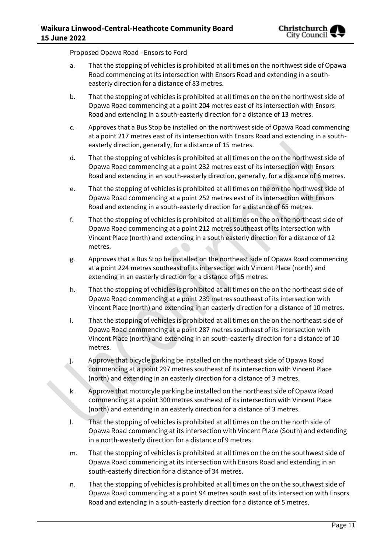Proposed Opawa Road –Ensors to Ford

- a. That the stopping of vehicles is prohibited at all times on the northwest side of Opawa Road commencing at its intersection with Ensors Road and extending in a southeasterly direction for a distance of 83 metres.
- b. That the stopping of vehicles is prohibited at all times on the on the northwest side of Opawa Road commencing at a point 204 metres east of its intersection with Ensors Road and extending in a south-easterly direction for a distance of 13 metres.
- c. Approves that a Bus Stop be installed on the northwest side of Opawa Road commencing at a point 217 metres east of its intersection with Ensors Road and extending in a southeasterly direction, generally, for a distance of 15 metres.
- d. That the stopping of vehicles is prohibited at all times on the on the northwest side of Opawa Road commencing at a point 232 metres east of its intersection with Ensors Road and extending in an south-easterly direction, generally, for a distance of 6 metres.
- e. That the stopping of vehicles is prohibited at all times on the on the northwest side of Opawa Road commencing at a point 252 metres east of its intersection with Ensors Road and extending in a south-easterly direction for a distance of 65 metres.
- f. That the stopping of vehicles is prohibited at all times on the on the northeast side of Opawa Road commencing at a point 212 metres southeast of its intersection with Vincent Place (north) and extending in a south easterly direction for a distance of 12 metres.
- g. Approves that a Bus Stop be installed on the northeast side of Opawa Road commencing at a point 224 metres southeast of its intersection with Vincent Place (north) and extending in an easterly direction for a distance of 15 metres.
- h. That the stopping of vehicles is prohibited at all times on the on the northeast side of Opawa Road commencing at a point 239 metres southeast of its intersection with Vincent Place (north) and extending in an easterly direction for a distance of 10 metres.
- i. That the stopping of vehicles is prohibited at all times on the on the northeast side of Opawa Road commencing at a point 287 metres southeast of its intersection with Vincent Place (north) and extending in an south-easterly direction for a distance of 10 metres.
- j. Approve that bicycle parking be installed on the northeast side of Opawa Road commencing at a point 297 metres southeast of its intersection with Vincent Place (north) and extending in an easterly direction for a distance of 3 metres.
- k. Approve that motorcyle parking be installed on the northeast side of Opawa Road commencing at a point 300 metres southeast of its intersection with Vincent Place (north) and extending in an easterly direction for a distance of 3 metres.
- l. That the stopping of vehicles is prohibited at all times on the on the north side of Opawa Road commencing at its intersection with Vincent Place (South) and extending in a north-westerly direction for a distance of 9 metres.
- m. That the stopping of vehicles is prohibited at all times on the on the southwest side of Opawa Road commencing at its intersection with Ensors Road and extending in an south-easterly direction for a distance of 34 metres.
- n. That the stopping of vehicles is prohibited at all times on the on the southwest side of Opawa Road commencing at a point 94 metres south east of its intersection with Ensors Road and extending in a south-easterly direction for a distance of 5 metres.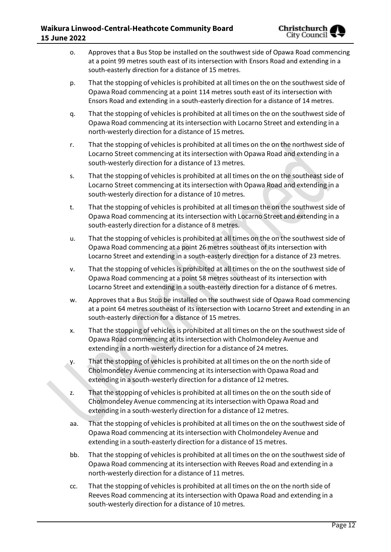- o. Approves that a Bus Stop be installed on the southwest side of Opawa Road commencing at a point 99 metres south east of its intersection with Ensors Road and extending in a south-easterly direction for a distance of 15 metres.
- p. That the stopping of vehicles is prohibited at all times on the on the southwest side of Opawa Road commencing at a point 114 metres south east of its intersection with Ensors Road and extending in a south-easterly direction for a distance of 14 metres.
- q. That the stopping of vehicles is prohibited at all times on the on the southwest side of Opawa Road commencing at its intersection with Locarno Street and extending in a north-westerly direction for a distance of 15 metres.
- r. That the stopping of vehicles is prohibited at all times on the on the northwest side of Locarno Street commencing at its intersection with Opawa Road and extending in a south-westerly direction for a distance of 13 metres.
- s. That the stopping of vehicles is prohibited at all times on the on the southeast side of Locarno Street commencing at its intersection with Opawa Road and extending in a south-westerly direction for a distance of 10 metres.
- t. That the stopping of vehicles is prohibited at all times on the on the southwest side of Opawa Road commencing at its intersection with Locarno Street and extending in a south-easterly direction for a distance of 8 metres.
- u. That the stopping of vehicles is prohibited at all times on the on the southwest side of Opawa Road commencing at a point 26 metres southeast of its intersection with Locarno Street and extending in a south-easterly direction for a distance of 23 metres.
- v. That the stopping of vehicles is prohibited at all times on the on the southwest side of Opawa Road commencing at a point 58 metres southeast of its intersection with Locarno Street and extending in a south-easterly direction for a distance of 6 metres.
- w. Approves that a Bus Stop be installed on the southwest side of Opawa Road commencing at a point 64 metres southeast of its intersection with Locarno Street and extending in an south-easterly direction for a distance of 15 metres.
- x. That the stopping of vehicles is prohibited at all times on the on the southwest side of Opawa Road commencing at its intersection with Cholmondeley Avenue and extending in a north-westerly direction for a distance of 24 metres.
- y. That the stopping of vehicles is prohibited at all times on the on the north side of Cholmondeley Avenue commencing at its intersection with Opawa Road and extending in a south-westerly direction for a distance of 12 metres.
- z. That the stopping of vehicles is prohibited at all times on the on the south side of Cholmondeley Avenue commencing at its intersection with Opawa Road and extending in a south-westerly direction for a distance of 12 metres.
- aa. That the stopping of vehicles is prohibited at all times on the on the southwest side of Opawa Road commencing at its intersection with Cholmondeley Avenue and extending in a south-easterly direction for a distance of 15 metres.
- bb. That the stopping of vehicles is prohibited at all times on the on the southwest side of Opawa Road commencing at its intersection with Reeves Road and extending in a north-westerly direction for a distance of 11 metres.
- cc. That the stopping of vehicles is prohibited at all times on the on the north side of Reeves Road commencing at its intersection with Opawa Road and extending in a south-westerly direction for a distance of 10 metres.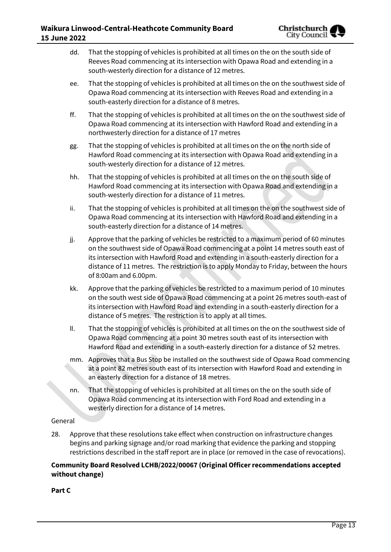- dd. That the stopping of vehicles is prohibited at all times on the on the south side of Reeves Road commencing at its intersection with Opawa Road and extending in a south-westerly direction for a distance of 12 metres.
- ee. That the stopping of vehicles is prohibited at all times on the on the southwest side of Opawa Road commencing at its intersection with Reeves Road and extending in a south-easterly direction for a distance of 8 metres.
- ff. That the stopping of vehicles is prohibited at all times on the on the southwest side of Opawa Road commencing at its intersection with Hawford Road and extending in a northwesterly direction for a distance of 17 metres
- gg. That the stopping of vehicles is prohibited at all times on the on the north side of Hawford Road commencing at its intersection with Opawa Road and extending in a south-westerly direction for a distance of 12 metres.
- hh. That the stopping of vehicles is prohibited at all times on the on the south side of Hawford Road commencing at its intersection with Opawa Road and extending in a south-westerly direction for a distance of 11 metres.
- ii. That the stopping of vehicles is prohibited at all times on the on the southwest side of Opawa Road commencing at its intersection with Hawford Road and extending in a south-easterly direction for a distance of 14 metres.
- jj. Approve that the parking of vehicles be restricted to a maximum period of 60 minutes on the southwest side of Opawa Road commencing at a point 14 metres south east of its intersection with Hawford Road and extending in a south-easterly direction for a distance of 11 metres. The restriction is to apply Monday to Friday, between the hours of 8:00am and 6.00pm.
- kk. Approve that the parking of vehicles be restricted to a maximum period of 10 minutes on the south west side of Opawa Road commencing at a point 26 metres south-east of its intersection with Hawford Road and extending in a south-easterly direction for a distance of 5 metres. The restriction is to apply at all times.
- ll. That the stopping of vehicles is prohibited at all times on the on the southwest side of Opawa Road commencing at a point 30 metres south east of its intersection with Hawford Road and extending in a south-easterly direction for a distance of 52 metres.
- mm. Approves that a Bus Stop be installed on the southwest side of Opawa Road commencing at a point 82 metres south east of its intersection with Hawford Road and extending in an easterly direction for a distance of 18 metres.
- nn. That the stopping of vehicles is prohibited at all times on the on the south side of Opawa Road commencing at its intersection with Ford Road and extending in a westerly direction for a distance of 14 metres.

### General

28. Approve that these resolutions take effect when construction on infrastructure changes begins and parking signage and/or road marking that evidence the parking and stopping restrictions described in the staff report are in place (or removed in the case of revocations).

#### **Community Board Resolved LCHB/2022/00067 (Original Officer recommendations accepted without change)**

#### **Part C**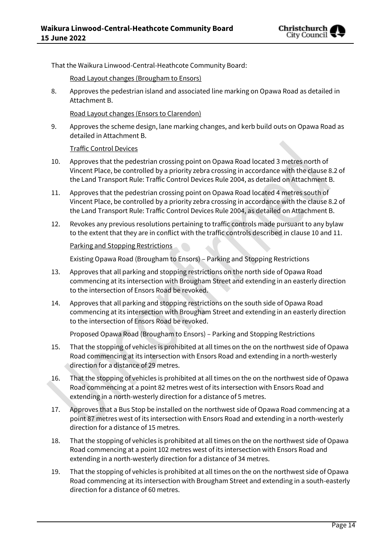

That the Waikura Linwood-Central-Heathcote Community Board:

Road Layout changes (Brougham to Ensors)

8. Approves the pedestrian island and associated line marking on Opawa Road as detailed in Attachment B.

Road Layout changes (Ensors to Clarendon)

9. Approves the scheme design, lane marking changes, and kerb build outs on Opawa Road as detailed in Attachment B.

Traffic Control Devices

- 10. Approves that the pedestrian crossing point on Opawa Road located 3 metres north of Vincent Place, be controlled by a priority zebra crossing in accordance with the clause 8.2 of the Land Transport Rule: Traffic Control Devices Rule 2004, as detailed on Attachment B.
- 11. Approves that the pedestrian crossing point on Opawa Road located 4 metres south of Vincent Place, be controlled by a priority zebra crossing in accordance with the clause 8.2 of the Land Transport Rule: Traffic Control Devices Rule 2004, as detailed on Attachment B.
- 12. Revokes any previous resolutions pertaining to traffic controls made pursuant to any bylaw to the extent that they are in conflict with the traffic controls described in clause 10 and 11.

#### Parking and Stopping Restrictions

Existing Opawa Road (Brougham to Ensors) – Parking and Stopping Restrictions

- 13. Approves that all parking and stopping restrictions on the north side of Opawa Road commencing at its intersection with Brougham Street and extending in an easterly direction to the intersection of Ensors Road be revoked.
- 14. Approves that all parking and stopping restrictions on the south side of Opawa Road commencing at its intersection with Brougham Street and extending in an easterly direction to the intersection of Ensors Road be revoked.

Proposed Opawa Road (Brougham to Ensors) – Parking and Stopping Restrictions

- 15. That the stopping of vehicles is prohibited at all times on the on the northwest side of Opawa Road commencing at its intersection with Ensors Road and extending in a north-westerly direction for a distance of 29 metres.
- 16. That the stopping of vehicles is prohibited at all times on the on the northwest side of Opawa Road commencing at a point 82 metres west of its intersection with Ensors Road and extending in a north-westerly direction for a distance of 5 metres.
- 17. Approves that a Bus Stop be installed on the northwest side of Opawa Road commencing at a point 87 metres west of its intersection with Ensors Road and extending in a north-westerly direction for a distance of 15 metres.
- 18. That the stopping of vehicles is prohibited at all times on the on the northwest side of Opawa Road commencing at a point 102 metres west of its intersection with Ensors Road and extending in a north-westerly direction for a distance of 34 metres.
- 19. That the stopping of vehicles is prohibited at all times on the on the northwest side of Opawa Road commencing at its intersection with Brougham Street and extending in a south-easterly direction for a distance of 60 metres.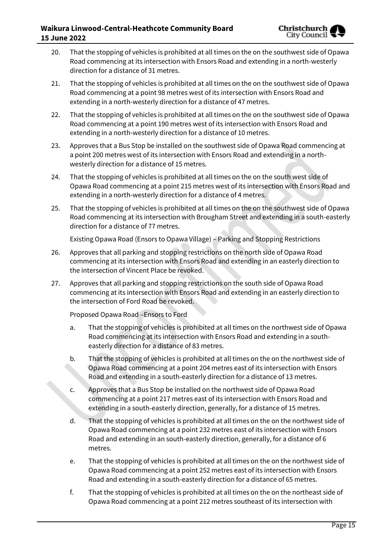- 20. That the stopping of vehicles is prohibited at all times on the on the southwest side of Opawa Road commencing at its intersection with Ensors Road and extending in a north-westerly direction for a distance of 31 metres.
- 21. That the stopping of vehicles is prohibited at all times on the on the southwest side of Opawa Road commencing at a point 98 metres west of its intersection with Ensors Road and extending in a north-westerly direction for a distance of 47 metres.
- 22. That the stopping of vehicles is prohibited at all times on the on the southwest side of Opawa Road commencing at a point 190 metres west of its intersection with Ensors Road and extending in a north-westerly direction for a distance of 10 metres.
- 23. Approves that a Bus Stop be installed on the southwest side of Opawa Road commencing at a point 200 metres west of its intersection with Ensors Road and extending in a northwesterly direction for a distance of 15 metres.
- 24. That the stopping of vehicles is prohibited at all times on the on the south west side of Opawa Road commencing at a point 215 metres west of its intersection with Ensors Road and extending in a north-westerly direction for a distance of 4 metres.
- 25. That the stopping of vehicles is prohibited at all times on the on the southwest side of Opawa Road commencing at its intersection with Brougham Street and extending in a south-easterly direction for a distance of 77 metres.

Existing Opawa Road (Ensors to Opawa Village) – Parking and Stopping Restrictions

- 26. Approves that all parking and stopping restrictions on the north side of Opawa Road commencing at its intersection with Ensors Road and extending in an easterly direction to the intersection of Vincent Place be revoked.
- 27. Approves that all parking and stopping restrictions on the south side of Opawa Road commencing at its intersection with Ensors Road and extending in an easterly direction to the intersection of Ford Road be revoked.

Proposed Opawa Road –Ensors to Ford

- a. That the stopping of vehicles is prohibited at all times on the northwest side of Opawa Road commencing at its intersection with Ensors Road and extending in a southeasterly direction for a distance of 83 metres.
- b. That the stopping of vehicles is prohibited at all times on the on the northwest side of Opawa Road commencing at a point 204 metres east of its intersection with Ensors Road and extending in a south-easterly direction for a distance of 13 metres.
- c. Approves that a Bus Stop be installed on the northwest side of Opawa Road commencing at a point 217 metres east of its intersection with Ensors Road and extending in a south-easterly direction, generally, for a distance of 15 metres.
- d. That the stopping of vehicles is prohibited at all times on the on the northwest side of Opawa Road commencing at a point 232 metres east of its intersection with Ensors Road and extending in an south-easterly direction, generally, for a distance of 6 metres.
- e. That the stopping of vehicles is prohibited at all times on the on the northwest side of Opawa Road commencing at a point 252 metres east of its intersection with Ensors Road and extending in a south-easterly direction for a distance of 65 metres.
- f. That the stopping of vehicles is prohibited at all times on the on the northeast side of Opawa Road commencing at a point 212 metres southeast of its intersection with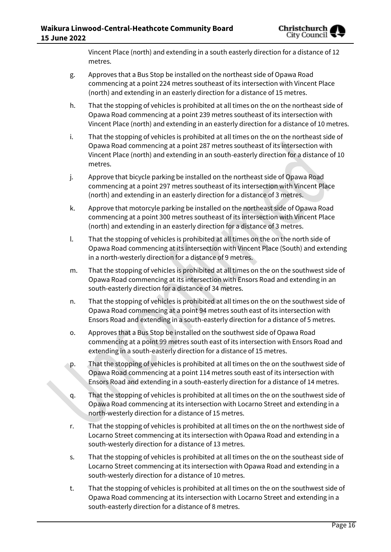Vincent Place (north) and extending in a south easterly direction for a distance of 12 metres.

- g. Approves that a Bus Stop be installed on the northeast side of Opawa Road commencing at a point 224 metres southeast of its intersection with Vincent Place (north) and extending in an easterly direction for a distance of 15 metres.
- h. That the stopping of vehicles is prohibited at all times on the on the northeast side of Opawa Road commencing at a point 239 metres southeast of its intersection with Vincent Place (north) and extending in an easterly direction for a distance of 10 metres.
- i. That the stopping of vehicles is prohibited at all times on the on the northeast side of Opawa Road commencing at a point 287 metres southeast of its intersection with Vincent Place (north) and extending in an south-easterly direction for a distance of 10 metres.
- j. Approve that bicycle parking be installed on the northeast side of Opawa Road commencing at a point 297 metres southeast of its intersection with Vincent Place (north) and extending in an easterly direction for a distance of 3 metres.
- k. Approve that motorcyle parking be installed on the northeast side of Opawa Road commencing at a point 300 metres southeast of its intersection with Vincent Place (north) and extending in an easterly direction for a distance of 3 metres.
- l. That the stopping of vehicles is prohibited at all times on the on the north side of Opawa Road commencing at its intersection with Vincent Place (South) and extending in a north-westerly direction for a distance of 9 metres.
- m. That the stopping of vehicles is prohibited at all times on the on the southwest side of Opawa Road commencing at its intersection with Ensors Road and extending in an south-easterly direction for a distance of 34 metres.
- n. That the stopping of vehicles is prohibited at all times on the on the southwest side of Opawa Road commencing at a point 94 metres south east of its intersection with Ensors Road and extending in a south-easterly direction for a distance of 5 metres.
- o. Approves that a Bus Stop be installed on the southwest side of Opawa Road commencing at a point 99 metres south east of its intersection with Ensors Road and extending in a south-easterly direction for a distance of 15 metres.
- p. That the stopping of vehicles is prohibited at all times on the on the southwest side of Opawa Road commencing at a point 114 metres south east of its intersection with Ensors Road and extending in a south-easterly direction for a distance of 14 metres.
- q. That the stopping of vehicles is prohibited at all times on the on the southwest side of Opawa Road commencing at its intersection with Locarno Street and extending in a north-westerly direction for a distance of 15 metres.
- r. That the stopping of vehicles is prohibited at all times on the on the northwest side of Locarno Street commencing at its intersection with Opawa Road and extending in a south-westerly direction for a distance of 13 metres.
- s. That the stopping of vehicles is prohibited at all times on the on the southeast side of Locarno Street commencing at its intersection with Opawa Road and extending in a south-westerly direction for a distance of 10 metres.
- t. That the stopping of vehicles is prohibited at all times on the on the southwest side of Opawa Road commencing at its intersection with Locarno Street and extending in a south-easterly direction for a distance of 8 metres.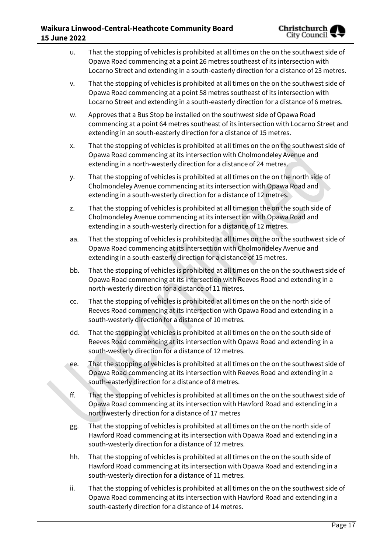- u. That the stopping of vehicles is prohibited at all times on the on the southwest side of Opawa Road commencing at a point 26 metres southeast of its intersection with Locarno Street and extending in a south-easterly direction for a distance of 23 metres.
- v. That the stopping of vehicles is prohibited at all times on the on the southwest side of Opawa Road commencing at a point 58 metres southeast of its intersection with Locarno Street and extending in a south-easterly direction for a distance of 6 metres.
- w. Approves that a Bus Stop be installed on the southwest side of Opawa Road commencing at a point 64 metres southeast of its intersection with Locarno Street and extending in an south-easterly direction for a distance of 15 metres.
- x. That the stopping of vehicles is prohibited at all times on the on the southwest side of Opawa Road commencing at its intersection with Cholmondeley Avenue and extending in a north-westerly direction for a distance of 24 metres.
- y. That the stopping of vehicles is prohibited at all times on the on the north side of Cholmondeley Avenue commencing at its intersection with Opawa Road and extending in a south-westerly direction for a distance of 12 metres.
- z. That the stopping of vehicles is prohibited at all times on the on the south side of Cholmondeley Avenue commencing at its intersection with Opawa Road and extending in a south-westerly direction for a distance of 12 metres.
- aa. That the stopping of vehicles is prohibited at all times on the on the southwest side of Opawa Road commencing at its intersection with Cholmondeley Avenue and extending in a south-easterly direction for a distance of 15 metres.
- bb. That the stopping of vehicles is prohibited at all times on the on the southwest side of Opawa Road commencing at its intersection with Reeves Road and extending in a north-westerly direction for a distance of 11 metres.
- cc. That the stopping of vehicles is prohibited at all times on the on the north side of Reeves Road commencing at its intersection with Opawa Road and extending in a south-westerly direction for a distance of 10 metres.
- dd. That the stopping of vehicles is prohibited at all times on the on the south side of Reeves Road commencing at its intersection with Opawa Road and extending in a south-westerly direction for a distance of 12 metres.
- ee. That the stopping of vehicles is prohibited at all times on the on the southwest side of Opawa Road commencing at its intersection with Reeves Road and extending in a south-easterly direction for a distance of 8 metres.
- ff. That the stopping of vehicles is prohibited at all times on the on the southwest side of Opawa Road commencing at its intersection with Hawford Road and extending in a northwesterly direction for a distance of 17 metres
- gg. That the stopping of vehicles is prohibited at all times on the on the north side of Hawford Road commencing at its intersection with Opawa Road and extending in a south-westerly direction for a distance of 12 metres.
- hh. That the stopping of vehicles is prohibited at all times on the on the south side of Hawford Road commencing at its intersection with Opawa Road and extending in a south-westerly direction for a distance of 11 metres.
- ii. That the stopping of vehicles is prohibited at all times on the on the southwest side of Opawa Road commencing at its intersection with Hawford Road and extending in a south-easterly direction for a distance of 14 metres.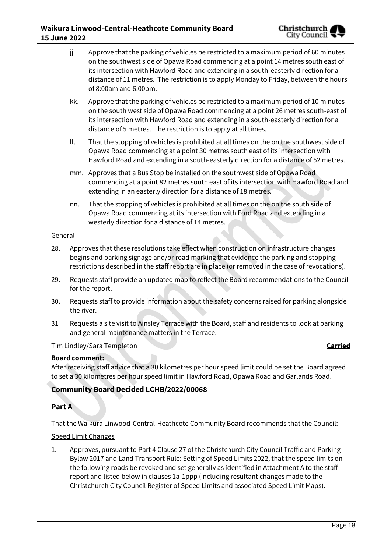### **Waikura Linwood-Central-Heathcote Community Board 15 June 2022**

- jj. Approve that the parking of vehicles be restricted to a maximum period of 60 minutes on the southwest side of Opawa Road commencing at a point 14 metres south east of its intersection with Hawford Road and extending in a south-easterly direction for a distance of 11 metres. The restriction is to apply Monday to Friday, between the hours of 8:00am and 6.00pm.
- kk. Approve that the parking of vehicles be restricted to a maximum period of 10 minutes on the south west side of Opawa Road commencing at a point 26 metres south-east of its intersection with Hawford Road and extending in a south-easterly direction for a distance of 5 metres. The restriction is to apply at all times.
- ll. That the stopping of vehicles is prohibited at all times on the on the southwest side of Opawa Road commencing at a point 30 metres south east of its intersection with Hawford Road and extending in a south-easterly direction for a distance of 52 metres.
- mm. Approves that a Bus Stop be installed on the southwest side of Opawa Road commencing at a point 82 metres south east of its intersection with Hawford Road and extending in an easterly direction for a distance of 18 metres.
- nn. That the stopping of vehicles is prohibited at all times on the on the south side of Opawa Road commencing at its intersection with Ford Road and extending in a westerly direction for a distance of 14 metres.

#### General

- 28. Approves that these resolutions take effect when construction on infrastructure changes begins and parking signage and/or road marking that evidence the parking and stopping restrictions described in the staff report are in place (or removed in the case of revocations).
- 29. Requests staff provide an updated map to reflect the Board recommendations to the Council for the report.
- 30. Requests staff to provide information about the safety concerns raised for parking alongside the river.
- 31 Requests a site visit to Ainsley Terrace with the Board, staff and residents to look at parking and general maintenance matters in the Terrace.

#### Tim Lindley/Sara Templeton **Carried**

### **Board comment:**

After receiving staff advice that a 30 kilometres per hour speed limit could be set the Board agreed to set a 30 kilometres per hour speed limit in Hawford Road, Opawa Road and Garlands Road.

# **Community Board Decided LCHB/2022/00068**

### **Part A**

That the Waikura Linwood-Central-Heathcote Community Board recommends that the Council:

#### Speed Limit Changes

1. Approves, pursuant to Part 4 Clause 27 of the Christchurch City Council Traffic and Parking Bylaw 2017 and Land Transport Rule: Setting of Speed Limits 2022, that the speed limits on the following roads be revoked and set generally as identified in Attachment A to the staff report and listed below in clauses 1a-1ppp (including resultant changes made to the Christchurch City Council Register of Speed Limits and associated Speed Limit Maps).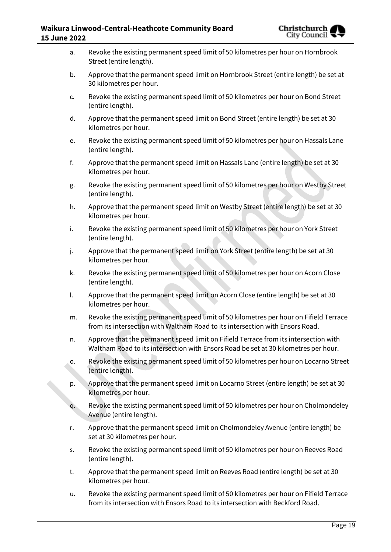| a. | Revoke the existing permanent speed limit of 50 kilometres per hour on Hornbrook<br>Street (entire length).                                                                 |
|----|-----------------------------------------------------------------------------------------------------------------------------------------------------------------------------|
| b. | Approve that the permanent speed limit on Hornbrook Street (entire length) be set at<br>30 kilometres per hour.                                                             |
| c. | Revoke the existing permanent speed limit of 50 kilometres per hour on Bond Street<br>(entire length).                                                                      |
| d. | Approve that the permanent speed limit on Bond Street (entire length) be set at 30<br>kilometres per hour.                                                                  |
| e. | Revoke the existing permanent speed limit of 50 kilometres per hour on Hassals Lane<br>(entire length).                                                                     |
| f. | Approve that the permanent speed limit on Hassals Lane (entire length) be set at 30<br>kilometres per hour.                                                                 |
| g. | Revoke the existing permanent speed limit of 50 kilometres per hour on Westby Street<br>(entire length).                                                                    |
| h. | Approve that the permanent speed limit on Westby Street (entire length) be set at 30<br>kilometres per hour.                                                                |
| i. | Revoke the existing permanent speed limit of 50 kilometres per hour on York Street<br>(entire length).                                                                      |
| j. | Approve that the permanent speed limit on York Street (entire length) be set at 30<br>kilometres per hour.                                                                  |
| k. | Revoke the existing permanent speed limit of 50 kilometres per hour on Acorn Close<br>(entire length).                                                                      |
| I. | Approve that the permanent speed limit on Acorn Close (entire length) be set at 30<br>kilometres per hour.                                                                  |
| m. | Revoke the existing permanent speed limit of 50 kilometres per hour on Fifield Terrace<br>from its intersection with Waltham Road to its intersection with Ensors Road.     |
| n. | Approve that the permanent speed limit on Fifield Terrace from its intersection with<br>Waltham Road to its intersection with Ensors Road be set at 30 kilometres per hour. |
| о. | Revoke the existing permanent speed limit of 50 kilometres per hour on Locarno Street<br>(entire length).                                                                   |
| p. | Approve that the permanent speed limit on Locarno Street (entire length) be set at 30<br>kilometres per hour.                                                               |
| q. | Revoke the existing permanent speed limit of 50 kilometres per hour on Cholmondeley<br>Avenue (entire length).                                                              |
| r. | Approve that the permanent speed limit on Cholmondeley Avenue (entire length) be<br>set at 30 kilometres per hour.                                                          |
| s. | Revoke the existing permanent speed limit of 50 kilometres per hour on Reeves Road<br>(entire length).                                                                      |
| t. | Approve that the permanent speed limit on Reeves Road (entire length) be set at 30<br>kilometres per hour.                                                                  |
| u. | Revoke the existing permanent speed limit of 50 kilometres per hour on Fifield Terrace<br>from its intersection with Ensors Road to its intersection with Beckford Road.    |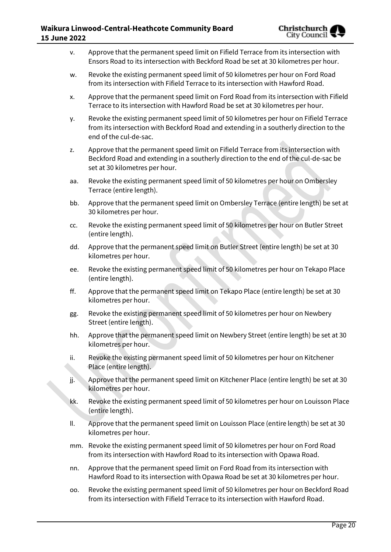| Approve that the permanent speed limit on Fifield Terrace from its intersection with |
|--------------------------------------------------------------------------------------|
| Ensors Road to its intersection with Beckford Road be set at 30 kilometres per hour. |

- w. Revoke the existing permanent speed limit of 50 kilometres per hour on Ford Road from its intersection with Fifield Terrace to its intersection with Hawford Road.
- x. Approve that the permanent speed limit on Ford Road from its intersection with Fifield Terrace to its intersection with Hawford Road be set at 30 kilometres per hour.
- y. Revoke the existing permanent speed limit of 50 kilometres per hour on Fifield Terrace from its intersection with Beckford Road and extending in a southerly direction to the end of the cul-de-sac.
- z. Approve that the permanent speed limit on Fifield Terrace from its intersection with Beckford Road and extending in a southerly direction to the end of the cul-de-sac be set at 30 kilometres per hour.
- aa. Revoke the existing permanent speed limit of 50 kilometres per hour on Ombersley Terrace (entire length).
- bb. Approve that the permanent speed limit on Ombersley Terrace (entire length) be set at 30 kilometres per hour.
- cc. Revoke the existing permanent speed limit of 50 kilometres per hour on Butler Street (entire length).
- dd. Approve that the permanent speed limit on Butler Street (entire length) be set at 30 kilometres per hour.
- ee. Revoke the existing permanent speed limit of 50 kilometres per hour on Tekapo Place (entire length).
- ff. Approve that the permanent speed limit on Tekapo Place (entire length) be set at 30 kilometres per hour.
- gg. Revoke the existing permanent speed limit of 50 kilometres per hour on Newbery Street (entire length).
- hh. Approve that the permanent speed limit on Newbery Street (entire length) be set at 30 kilometres per hour.
- ii. Revoke the existing permanent speed limit of 50 kilometres per hour on Kitchener Place (entire length).
- jj. Approve that the permanent speed limit on Kitchener Place (entire length) be set at 30 kilometres per hour.
- kk. Revoke the existing permanent speed limit of 50 kilometres per hour on Louisson Place (entire length).
- ll. Approve that the permanent speed limit on Louisson Place (entire length) be set at 30 kilometres per hour.
- mm. Revoke the existing permanent speed limit of 50 kilometres per hour on Ford Road from its intersection with Hawford Road to its intersection with Opawa Road.
- nn. Approve that the permanent speed limit on Ford Road from its intersection with Hawford Road to its intersection with Opawa Road be set at 30 kilometres per hour.
- oo. Revoke the existing permanent speed limit of 50 kilometres per hour on Beckford Road from its intersection with Fifield Terrace to its intersection with Hawford Road.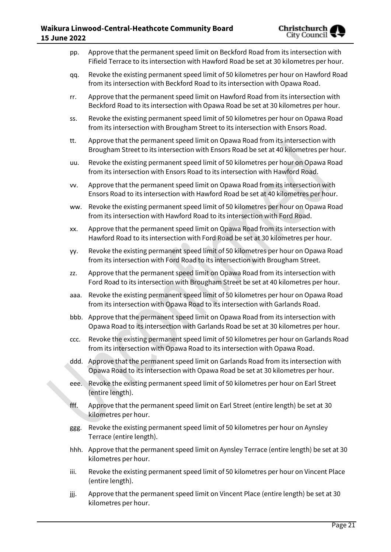| pp.  | Approve that the permanent speed limit on Beckford Road from its intersection with<br>Fifield Terrace to its intersection with Hawford Road be set at 30 kilometres per hour. |
|------|-------------------------------------------------------------------------------------------------------------------------------------------------------------------------------|
| qq.  | Revoke the existing permanent speed limit of 50 kilometres per hour on Hawford Road<br>from its intersection with Beckford Road to its intersection with Opawa Road.          |
| rr.  | Approve that the permanent speed limit on Hawford Road from its intersection with<br>Beckford Road to its intersection with Opawa Road be set at 30 kilometres per hour.      |
| SS.  | Revoke the existing permanent speed limit of 50 kilometres per hour on Opawa Road<br>from its intersection with Brougham Street to its intersection with Ensors Road.         |
| tt.  | Approve that the permanent speed limit on Opawa Road from its intersection with<br>Brougham Street to its intersection with Ensors Road be set at 40 kilometres per hour.     |
| uu.  | Revoke the existing permanent speed limit of 50 kilometres per hour on Opawa Road<br>from its intersection with Ensors Road to its intersection with Hawford Road.            |
| VV.  | Approve that the permanent speed limit on Opawa Road from its intersection with<br>Ensors Road to its intersection with Hawford Road be set at 40 kilometres per hour.        |
| ww.  | Revoke the existing permanent speed limit of 50 kilometres per hour on Opawa Road<br>from its intersection with Hawford Road to its intersection with Ford Road.              |
| XX.  | Approve that the permanent speed limit on Opawa Road from its intersection with<br>Hawford Road to its intersection with Ford Road be set at 30 kilometres per hour.          |
| yy.  | Revoke the existing permanent speed limit of 50 kilometres per hour on Opawa Road<br>from its intersection with Ford Road to its intersection with Brougham Street.           |
| ZZ.  | Approve that the permanent speed limit on Opawa Road from its intersection with<br>Ford Road to its intersection with Brougham Street be set at 40 kilometres per hour.       |
| aaa. | Revoke the existing permanent speed limit of 50 kilometres per hour on Opawa Road<br>from its intersection with Opawa Road to its intersection with Garlands Road.            |
| bbb. | Approve that the permanent speed limit on Opawa Road from its intersection with<br>Opawa Road to its intersection with Garlands Road be set at 30 kilometres per hour.        |
| CCC. | Revoke the existing permanent speed limit of 50 kilometres per hour on Garlands Road<br>from its intersection with Opawa Road to its intersection with Opawa Road.            |
| ddd. | Approve that the permanent speed limit on Garlands Road from its intersection with<br>Opawa Road to its intersection with Opawa Road be set at 30 kilometres per hour.        |
| eee. | Revoke the existing permanent speed limit of 50 kilometres per hour on Earl Street<br>(entire length).                                                                        |
| fff. | Approve that the permanent speed limit on Earl Street (entire length) be set at 30<br>kilometres per hour.                                                                    |
| ggg. | Revoke the existing permanent speed limit of 50 kilometres per hour on Aynsley<br>Terrace (entire length).                                                                    |
|      | hhh. Approve that the permanent speed limit on Aynsley Terrace (entire length) be set at 30<br>kilometres per hour.                                                           |
| iii. | Revoke the existing permanent speed limit of 50 kilometres per hour on Vincent Place<br>(entire length).                                                                      |
| jjj. | Approve that the permanent speed limit on Vincent Place (entire length) be set at 30<br>kilometres per hour.                                                                  |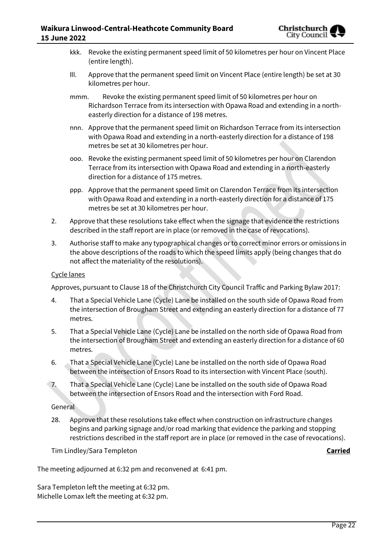- kkk. Revoke the existing permanent speed limit of 50 kilometres per hour on Vincent Place (entire length).
- lll. Approve that the permanent speed limit on Vincent Place (entire length) be set at 30 kilometres per hour.
- mmm. Revoke the existing permanent speed limit of 50 kilometres per hour on Richardson Terrace from its intersection with Opawa Road and extending in a northeasterly direction for a distance of 198 metres.
- nnn. Approve that the permanent speed limit on Richardson Terrace from its intersection with Opawa Road and extending in a north-easterly direction for a distance of 198 metres be set at 30 kilometres per hour.
- ooo. Revoke the existing permanent speed limit of 50 kilometres per hour on Clarendon Terrace from its intersection with Opawa Road and extending in a north-easterly direction for a distance of 175 metres.
- ppp. Approve that the permanent speed limit on Clarendon Terrace from its intersection with Opawa Road and extending in a north-easterly direction for a distance of 175 metres be set at 30 kilometres per hour.
- 2. Approve that these resolutions take effect when the signage that evidence the restrictions described in the staff report are in place (or removed in the case of revocations).
- 3. Authorise staff to make any typographical changes or to correct minor errors or omissions in the above descriptions of the roads to which the speed limits apply (being changes that do not affect the materiality of the resolutions).

#### Cycle lanes

Approves, pursuant to Clause 18 of the Christchurch City Council Traffic and Parking Bylaw 2017:

- 4. That a Special Vehicle Lane (Cycle) Lane be installed on the south side of Opawa Road from the intersection of Brougham Street and extending an easterly direction for a distance of 77 metres.
- 5. That a Special Vehicle Lane (Cycle) Lane be installed on the north side of Opawa Road from the intersection of Brougham Street and extending an easterly direction for a distance of 60 metres.
- 6. That a Special Vehicle Lane (Cycle) Lane be installed on the north side of Opawa Road between the intersection of Ensors Road to its intersection with Vincent Place (south).
- 7. That a Special Vehicle Lane (Cycle) Lane be installed on the south side of Opawa Road between the intersection of Ensors Road and the intersection with Ford Road.

#### General

28. Approve that these resolutions take effect when construction on infrastructure changes begins and parking signage and/or road marking that evidence the parking and stopping restrictions described in the staff report are in place (or removed in the case of revocations).

Tim Lindley/Sara Templeton **Carried**

The meeting adjourned at 6:32 pm and reconvened at 6:41 pm.

Sara Templeton left the meeting at 6:32 pm. Michelle Lomax left the meeting at 6:32 pm.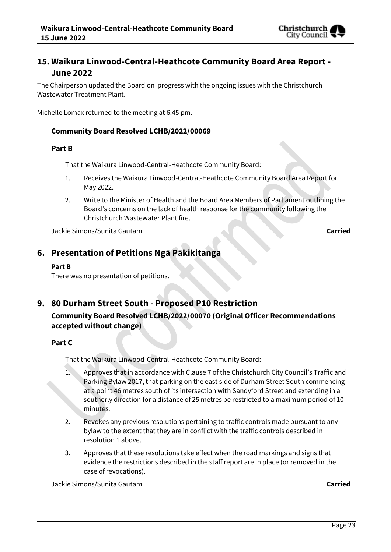

# **15. Waikura Linwood-Central-Heathcote Community Board Area Report - June 2022**

The Chairperson updated the Board on progress with the ongoing issues with the Christchurch Wastewater Treatment Plant.

Michelle Lomax returned to the meeting at 6:45 pm.

#### **Community Board Resolved LCHB/2022/00069**

#### **Part B**

That the Waikura Linwood-Central-Heathcote Community Board:

- 1. Receives the Waikura Linwood-Central-Heathcote Community Board Area Report for May 2022.
- 2. Write to the Minister of Health and the Board Area Members of Parliament outlining the Board's concerns on the lack of health response for the community following the Christchurch Wastewater Plant fire.

Jackie Simons/Sunita Gautam **Carried**

# **6. Presentation of Petitions Ngā Pākikitanga**

#### **Part B**

There was no presentation of petitions.

# **9. 80 Durham Street South - Proposed P10 Restriction**

**Community Board Resolved LCHB/2022/00070 (Original Officer Recommendations accepted without change)** 

#### **Part C**

That the Waikura Linwood-Central-Heathcote Community Board:

- 1. Approves that in accordance with Clause 7 of the Christchurch City Council's Traffic and Parking Bylaw 2017, that parking on the east side of Durham Street South commencing at a point 46 metres south of its intersection with Sandyford Street and extending in a southerly direction for a distance of 25 metres be restricted to a maximum period of 10 minutes.
- 2. Revokes any previous resolutions pertaining to traffic controls made pursuant to any bylaw to the extent that they are in conflict with the traffic controls described in resolution 1 above.
- 3. Approves that these resolutions take effect when the road markings and signs that evidence the restrictions described in the staff report are in place (or removed in the case of revocations).

Jackie Simons/Sunita Gautam **Carried**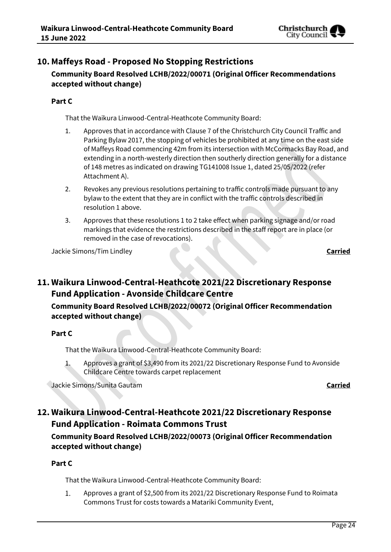

# **10. Maffeys Road - Proposed No Stopping Restrictions Community Board Resolved LCHB/2022/00071 (Original Officer Recommendations accepted without change)**

### **Part C**

That the Waikura Linwood-Central-Heathcote Community Board:

- 1. Approves that in accordance with Clause 7 of the Christchurch City Council Traffic and Parking Bylaw 2017, the stopping of vehicles be prohibited at any time on the east side of Maffeys Road commencing 42m from its intersection with McCormacks Bay Road, and extending in a north-westerly direction then southerly direction generally for a distance of 148 metres as indicated on drawing TG141008 Issue 1, dated 25/05/2022 (refer Attachment A).
- 2. Revokes any previous resolutions pertaining to traffic controls made pursuant to any bylaw to the extent that they are in conflict with the traffic controls described in resolution 1 above.
- 3. Approves that these resolutions 1 to 2 take effect when parking signage and/or road markings that evidence the restrictions described in the staff report are in place (or removed in the case of revocations).

Jackie Simons/Tim Lindley **Carried**

# **11. Waikura Linwood-Central-Heathcote 2021/22 Discretionary Response Fund Application - Avonside Childcare Centre**

# **Community Board Resolved LCHB/2022/00072 (Original Officer Recommendation accepted without change)**

### **Part C**

That the Waikura Linwood-Central-Heathcote Community Board:

Approves a grant of \$3,490 from its 2021/22 Discretionary Response Fund to Avonside 1. Childcare Centre towards carpet replacement

Jackie Simons/Sunita Gautam **Carried**

# **12. Waikura Linwood-Central-Heathcote 2021/22 Discretionary Response Fund Application - Roimata Commons Trust**

**Community Board Resolved LCHB/2022/00073 (Original Officer Recommendation accepted without change)**

### **Part C**

That the Waikura Linwood-Central-Heathcote Community Board:

 $1.$ Approves a grant of \$2,500 from its 2021/22 Discretionary Response Fund to Roimata Commons Trust for costs towards a Matariki Community Event,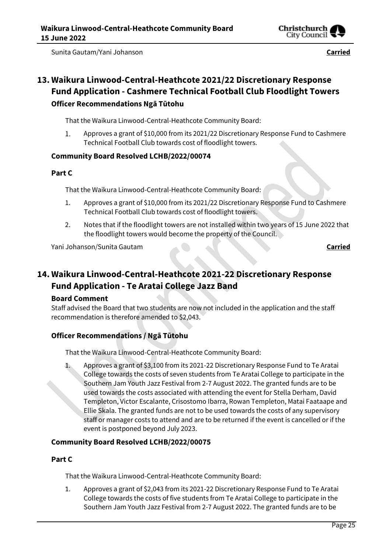

Sunita Gautam/Yani Johanson **Carried**

# **13. Waikura Linwood-Central-Heathcote 2021/22 Discretionary Response Fund Application - Cashmere Technical Football Club Floodlight Towers Officer Recommendations Ngā Tūtohu**

That the Waikura Linwood-Central-Heathcote Community Board:

Approves a grant of \$10,000 from its 2021/22 Discretionary Response Fund to Cashmere 1. Technical Football Club towards cost of floodlight towers.

### **Community Board Resolved LCHB/2022/00074**

#### **Part C**

That the Waikura Linwood-Central-Heathcote Community Board:

- 1. Approves a grant of \$10,000 from its 2021/22 Discretionary Response Fund to Cashmere Technical Football Club towards cost of floodlight towers.
- 2. Notes that if the floodlight towers are not installed within two years of 15 June 2022 that the floodlight towers would become the property of the Council.

Yani Johanson/Sunita Gautam **Carried**

# **14. Waikura Linwood-Central-Heathcote 2021-22 Discretionary Response Fund Application - Te Aratai College Jazz Band**

#### **Board Comment**

Staff advised the Board that two students are now not included in the application and the staff recommendation is therefore amended to \$2,043.

# **Officer Recommendations / Ngā Tūtohu**

That the Waikura Linwood-Central-Heathcote Community Board:

1. Approves a grant of \$3,100 from its 2021-22 Discretionary Response Fund to Te Aratai College towards the costs of seven students from Te Aratai College to participate in the Southern Jam Youth Jazz Festival from 2-7 August 2022. The granted funds are to be used towards the costs associated with attending the event for Stella Derham, David Templeton, Victor Escalante, Crisostomo Ibarra, Rowan Templeton, Matai Faataape and Ellie Skala. The granted funds are not to be used towards the costs of any supervisory staff or manager costs to attend and are to be returned if the event is cancelled or if the event is postponed beyond July 2023.

### **Community Board Resolved LCHB/2022/00075**

### **Part C**

That the Waikura Linwood-Central-Heathcote Community Board:

1. Approves a grant of \$2,043 from its 2021-22 Discretionary Response Fund to Te Aratai College towards the costs of five students from Te Aratai College to participate in the Southern Jam Youth Jazz Festival from 2-7 August 2022. The granted funds are to be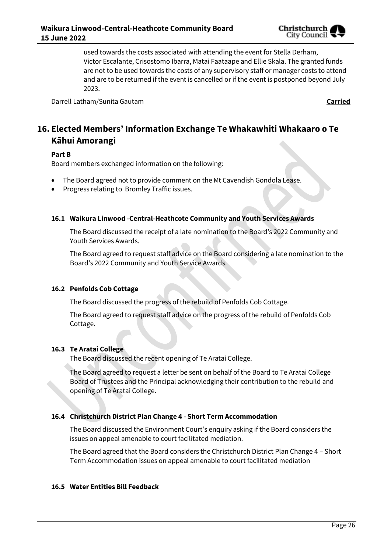

used towards the costs associated with attending the event for Stella Derham, Victor Escalante, Crisostomo Ibarra, Matai Faataape and Ellie Skala. The granted funds are not to be used towards the costs of any supervisory staff or manager costs to attend and are to be returned if the event is cancelled or if the event is postponed beyond July 2023.

Darrell Latham/Sunita Gautam **Carried**

# **16. Elected Members' Information Exchange Te Whakawhiti Whakaaro o Te Kāhui Amorangi**

#### **Part B**

Board members exchanged information on the following:

- The Board agreed not to provide comment on the Mt Cavendish Gondola Lease.
- Progress relating to Bromley Traffic issues.

#### **16.1 Waikura Linwood -Central-Heathcote Community and Youth Services Awards**

The Board discussed the receipt of a late nomination to the Board's 2022 Community and Youth Services Awards.

The Board agreed to request staff advice on the Board considering a late nomination to the Board's 2022 Community and Youth Service Awards.

#### **16.2 Penfolds Cob Cottage**

The Board discussed the progress of the rebuild of Penfolds Cob Cottage.

The Board agreed to request staff advice on the progress of the rebuild of Penfolds Cob Cottage.

#### **16.3 Te Aratai College**

The Board discussed the recent opening of Te Aratai College.

The Board agreed to request a letter be sent on behalf of the Board to Te Aratai College Board of Trustees and the Principal acknowledging their contribution to the rebuild and opening of Te Aratai College.

#### **16.4 Christchurch District Plan Change 4 - Short Term Accommodation**

The Board discussed the Environment Court's enquiry asking if the Board considers the issues on appeal amenable to court facilitated mediation.

The Board agreed that the Board considers the Christchurch District Plan Change 4 – Short Term Accommodation issues on appeal amenable to court facilitated mediation

### **16.5 Water Entities Bill Feedback**